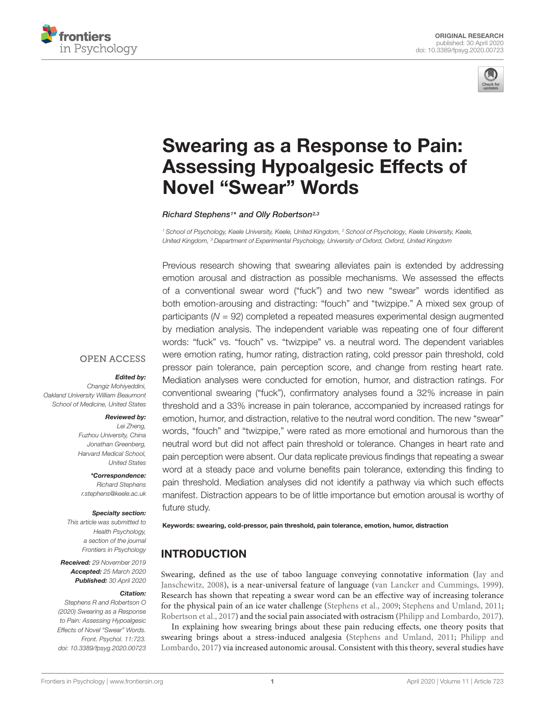



# Swearing as a Response to Pain: [Assessing Hypoalgesic Effects of](https://www.frontiersin.org/articles/10.3389/fpsyg.2020.00723/full) Novel "Swear" Words

[Richard Stephens](http://loop.frontiersin.org/people/859645/overview)<sup>1\*</sup> and [Olly Robertson](http://loop.frontiersin.org/people/863054/overview)<sup>2,3</sup>

<sup>1</sup> School of Psychology, Keele University, Keele, United Kingdom, <sup>2</sup> School of Psychology, Keele University, Keele, United Kingdom, <sup>3</sup> Department of Experimental Psychology, University of Oxford, Oxford, United Kingdom

Previous research showing that swearing alleviates pain is extended by addressing emotion arousal and distraction as possible mechanisms. We assessed the effects of a conventional swear word ("fuck") and two new "swear" words identified as both emotion-arousing and distracting: "fouch" and "twizpipe." A mixed sex group of participants ( $N = 92$ ) completed a repeated measures experimental design augmented by mediation analysis. The independent variable was repeating one of four different words: "fuck" vs. "fouch" vs. "twizpipe" vs. a neutral word. The dependent variables were emotion rating, humor rating, distraction rating, cold pressor pain threshold, cold pressor pain tolerance, pain perception score, and change from resting heart rate. Mediation analyses were conducted for emotion, humor, and distraction ratings. For conventional swearing ("fuck"), confirmatory analyses found a 32% increase in pain threshold and a 33% increase in pain tolerance, accompanied by increased ratings for emotion, humor, and distraction, relative to the neutral word condition. The new "swear" words, "fouch" and "twizpipe," were rated as more emotional and humorous than the neutral word but did not affect pain threshold or tolerance. Changes in heart rate and pain perception were absent. Our data replicate previous findings that repeating a swear word at a steady pace and volume benefits pain tolerance, extending this finding to pain threshold. Mediation analyses did not identify a pathway via which such effects manifest. Distraction appears to be of little importance but emotion arousal is worthy of future study.

### **OPEN ACCESS**

#### Edited by:

Changiz Mohiyeddini, Oakland University William Beaumont School of Medicine, United States

#### Reviewed by:

Lei Zheng, Fuzhou University, China Jonathan Greenberg, Harvard Medical School, United States

\*Correspondence: Richard Stephens r.stephens@keele.ac.uk

#### Specialty section:

This article was submitted to Health Psychology, a section of the journal Frontiers in Psychology

Received: 29 November 2019 Accepted: 25 March 2020 Published: 30 April 2020

#### Citation:

Stephens R and Robertson O (2020) Swearing as a Response to Pain: Assessing Hypoalgesic Effects of Novel "Swear" Words. Front. Psychol. 11:723. doi: [10.3389/fpsyg.2020.00723](https://doi.org/10.3389/fpsyg.2020.00723) Keywords: swearing, cold-pressor, pain threshold, pain tolerance, emotion, humor, distraction

## INTRODUCTION

Swearing, defined as the use of taboo language conveying connotative information [\(Jay and](#page-8-0) [Janschewitz,](#page-8-0) [2008\)](#page-8-0), is a near-universal feature of language [\(van Lancker and Cummings,](#page-9-0) [1999\)](#page-9-0). Research has shown that repeating a swear word can be an effective way of increasing tolerance for the physical pain of an ice water challenge [\(Stephens et al.,](#page-9-1) [2009;](#page-9-1) [Stephens and Umland,](#page-9-2) [2011;](#page-9-2) [Robertson et al.,](#page-9-3) [2017\)](#page-9-3) and the social pain associated with ostracism [\(Philipp and Lombardo,](#page-9-4) [2017\)](#page-9-4).

In explaining how swearing brings about these pain reducing effects, one theory posits that swearing brings about a stress-induced analgesia [\(Stephens and Umland,](#page-9-2) [2011;](#page-9-2) [Philipp and](#page-9-4) [Lombardo,](#page-9-4) [2017\)](#page-9-4) via increased autonomic arousal. Consistent with this theory, several studies have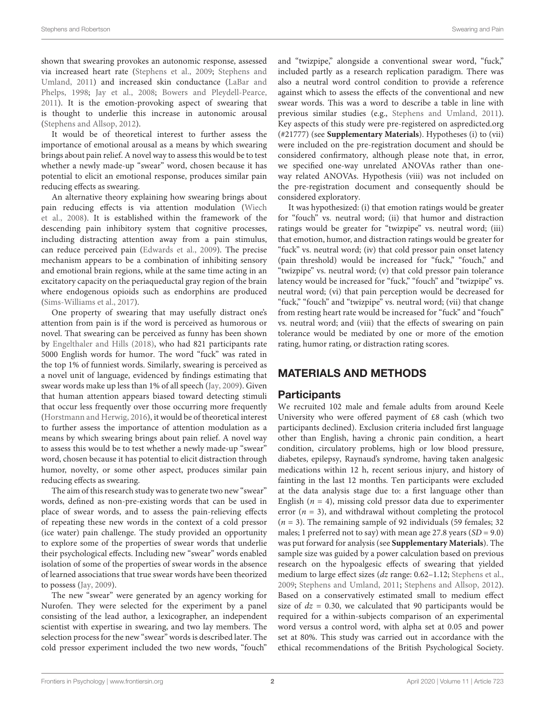shown that swearing provokes an autonomic response, assessed via increased heart rate [\(Stephens et al.,](#page-9-1) [2009;](#page-9-1) [Stephens and](#page-9-2) [Umland,](#page-9-2) [2011\)](#page-9-2) and increased skin conductance [\(LaBar and](#page-8-1) [Phelps,](#page-8-1) [1998;](#page-8-1) [Jay et al.,](#page-8-2) [2008;](#page-8-2) [Bowers and Pleydell-Pearce,](#page-8-3) [2011\)](#page-8-3). It is the emotion-provoking aspect of swearing that is thought to underlie this increase in autonomic arousal [\(Stephens and Allsop,](#page-9-5) [2012\)](#page-9-5).

It would be of theoretical interest to further assess the importance of emotional arousal as a means by which swearing brings about pain relief. A novel way to assess this would be to test whether a newly made-up "swear" word, chosen because it has potential to elicit an emotional response, produces similar pain reducing effects as swearing.

An alternative theory explaining how swearing brings about pain reducing effects is via attention modulation [\(Wiech](#page-9-6) [et al.,](#page-9-6) [2008\)](#page-9-6). It is established within the framework of the descending pain inhibitory system that cognitive processes, including distracting attention away from a pain stimulus, can reduce perceived pain [\(Edwards et al.,](#page-8-4) [2009\)](#page-8-4). The precise mechanism appears to be a combination of inhibiting sensory and emotional brain regions, while at the same time acting in an excitatory capacity on the periaqueductal gray region of the brain where endogenous opioids such as endorphins are produced [\(Sims-Williams et al.,](#page-9-7) [2017\)](#page-9-7).

One property of swearing that may usefully distract one's attention from pain is if the word is perceived as humorous or novel. That swearing can be perceived as funny has been shown by [Engelthaler and Hills](#page-8-5) [\(2018\)](#page-8-5), who had 821 participants rate 5000 English words for humor. The word "fuck" was rated in the top 1% of funniest words. Similarly, swearing is perceived as a novel unit of language, evidenced by findings estimating that swear words make up less than 1% of all speech [\(Jay,](#page-8-6) [2009\)](#page-8-6). Given that human attention appears biased toward detecting stimuli that occur less frequently over those occurring more frequently [\(Horstmann and Herwig,](#page-8-7) [2016\)](#page-8-7), it would be of theoretical interest to further assess the importance of attention modulation as a means by which swearing brings about pain relief. A novel way to assess this would be to test whether a newly made-up "swear" word, chosen because it has potential to elicit distraction through humor, novelty, or some other aspect, produces similar pain reducing effects as swearing.

The aim of this research study was to generate two new "swear" words, defined as non-pre-existing words that can be used in place of swear words, and to assess the pain-relieving effects of repeating these new words in the context of a cold pressor (ice water) pain challenge. The study provided an opportunity to explore some of the properties of swear words that underlie their psychological effects. Including new "swear" words enabled isolation of some of the properties of swear words in the absence of learned associations that true swear words have been theorized to possess [\(Jay,](#page-8-6) [2009\)](#page-8-6).

The new "swear" were generated by an agency working for Nurofen. They were selected for the experiment by a panel consisting of the lead author, a lexicographer, an independent scientist with expertise in swearing, and two lay members. The selection process for the new "swear" words is described later. The cold pressor experiment included the two new words, "fouch"

and "twizpipe," alongside a conventional swear word, "fuck," included partly as a research replication paradigm. There was also a neutral word control condition to provide a reference against which to assess the effects of the conventional and new swear words. This was a word to describe a table in line with previous similar studies (e.g., [Stephens and Umland,](#page-9-2) [2011\)](#page-9-2). Key aspects of this study were pre-registered on [aspredicted.org](http://aspredicted.org) (#21777) (see **Supplementary Materials**). Hypotheses (i) to (vii) were included on the pre-registration document and should be considered confirmatory, although please note that, in error, we specified one-way unrelated ANOVAs rather than oneway related ANOVAs. Hypothesis (viii) was not included on the pre-registration document and consequently should be considered exploratory.

It was hypothesized: (i) that emotion ratings would be greater for "fouch" vs. neutral word; (ii) that humor and distraction ratings would be greater for "twizpipe" vs. neutral word; (iii) that emotion, humor, and distraction ratings would be greater for "fuck" vs. neutral word; (iv) that cold pressor pain onset latency (pain threshold) would be increased for "fuck," "fouch," and "twizpipe" vs. neutral word; (v) that cold pressor pain tolerance latency would be increased for "fuck," "fouch" and "twizpipe" vs. neutral word; (vi) that pain perception would be decreased for "fuck," "fouch" and "twizpipe" vs. neutral word; (vii) that change from resting heart rate would be increased for "fuck" and "fouch" vs. neutral word; and (viii) that the effects of swearing on pain tolerance would be mediated by one or more of the emotion rating, humor rating, or distraction rating scores.

## MATERIALS AND METHODS

### Participants

We recruited 102 male and female adults from around Keele University who were offered payment of £8 cash (which two participants declined). Exclusion criteria included first language other than English, having a chronic pain condition, a heart condition, circulatory problems, high or low blood pressure, diabetes, epilepsy, Raynaud's syndrome, having taken analgesic medications within 12 h, recent serious injury, and history of fainting in the last 12 months. Ten participants were excluded at the data analysis stage due to: a first language other than English ( $n = 4$ ), missing cold pressor data due to experimenter error ( $n = 3$ ), and withdrawal without completing the protocol  $(n = 3)$ . The remaining sample of 92 individuals (59 females; 32) males; 1 preferred not to say) with mean age 27.8 years  $(SD = 9.0)$ was put forward for analysis (see **Supplementary Materials**). The sample size was guided by a power calculation based on previous research on the hypoalgesic effects of swearing that yielded medium to large effect sizes (dz range: 0.62-1.12; [Stephens et al.,](#page-9-1) [2009;](#page-9-1) [Stephens and Umland,](#page-9-2) [2011;](#page-9-2) [Stephens and Allsop,](#page-9-5) [2012\)](#page-9-5). Based on a conservatively estimated small to medium effect size of  $dz = 0.30$ , we calculated that 90 participants would be required for a within-subjects comparison of an experimental word versus a control word, with alpha set at 0.05 and power set at 80%. This study was carried out in accordance with the ethical recommendations of the British Psychological Society.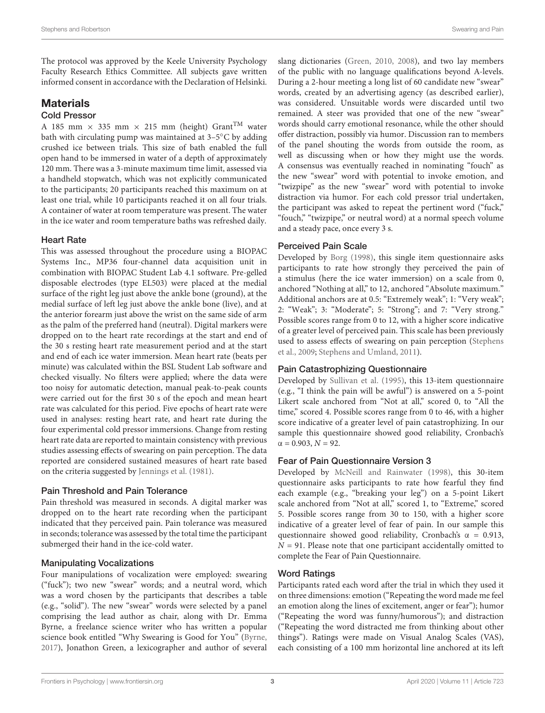The protocol was approved by the Keele University Psychology Faculty Research Ethics Committee. All subjects gave written informed consent in accordance with the Declaration of Helsinki.

## **Materials**

#### Cold Pressor

A 185 mm  $\times$  335 mm  $\times$  215 mm (height) Grant<sup>TM</sup> water bath with circulating pump was maintained at 3–5◦C by adding crushed ice between trials. This size of bath enabled the full open hand to be immersed in water of a depth of approximately 120 mm. There was a 3-minute maximum time limit, assessed via a handheld stopwatch, which was not explicitly communicated to the participants; 20 participants reached this maximum on at least one trial, while 10 participants reached it on all four trials. A container of water at room temperature was present. The water in the ice water and room temperature baths was refreshed daily.

#### Heart Rate

This was assessed throughout the procedure using a BIOPAC Systems Inc., MP36 four-channel data acquisition unit in combination with BIOPAC Student Lab 4.1 software. Pre-gelled disposable electrodes (type EL503) were placed at the medial surface of the right leg just above the ankle bone (ground), at the medial surface of left leg just above the ankle bone (live), and at the anterior forearm just above the wrist on the same side of arm as the palm of the preferred hand (neutral). Digital markers were dropped on to the heart rate recordings at the start and end of the 30 s resting heart rate measurement period and at the start and end of each ice water immersion. Mean heart rate (beats per minute) was calculated within the BSL Student Lab software and checked visually. No filters were applied; where the data were too noisy for automatic detection, manual peak-to-peak counts were carried out for the first 30 s of the epoch and mean heart rate was calculated for this period. Five epochs of heart rate were used in analyses: resting heart rate, and heart rate during the four experimental cold pressor immersions. Change from resting heart rate data are reported to maintain consistency with previous studies assessing effects of swearing on pain perception. The data reported are considered sustained measures of heart rate based on the criteria suggested by [Jennings et al.](#page-8-8) [\(1981\)](#page-8-8).

### Pain Threshold and Pain Tolerance

Pain threshold was measured in seconds. A digital marker was dropped on to the heart rate recording when the participant indicated that they perceived pain. Pain tolerance was measured in seconds; tolerance was assessed by the total time the participant submerged their hand in the ice-cold water.

#### Manipulating Vocalizations

Four manipulations of vocalization were employed: swearing ("fuck"); two new "swear" words; and a neutral word, which was a word chosen by the participants that describes a table (e.g., "solid"). The new "swear" words were selected by a panel comprising the lead author as chair, along with Dr. Emma Byrne, a freelance science writer who has written a popular science book entitled "Why Swearing is Good for You" [\(Byrne,](#page-8-9) [2017\)](#page-8-9), Jonathon Green, a lexicographer and author of several

slang dictionaries [\(Green,](#page-8-10) [2010,](#page-8-10) [2008\)](#page-8-11), and two lay members of the public with no language qualifications beyond A-levels. During a 2-hour meeting a long list of 60 candidate new "swear" words, created by an advertising agency (as described earlier), was considered. Unsuitable words were discarded until two remained. A steer was provided that one of the new "swear" words should carry emotional resonance, while the other should offer distraction, possibly via humor. Discussion ran to members of the panel shouting the words from outside the room, as well as discussing when or how they might use the words. A consensus was eventually reached in nominating "fouch" as the new "swear" word with potential to invoke emotion, and "twizpipe" as the new "swear" word with potential to invoke distraction via humor. For each cold pressor trial undertaken, the participant was asked to repeat the pertinent word ("fuck," "fouch," "twizpipe," or neutral word) at a normal speech volume and a steady pace, once every 3 s.

#### Perceived Pain Scale

Developed by [Borg](#page-8-12) [\(1998\)](#page-8-12), this single item questionnaire asks participants to rate how strongly they perceived the pain of a stimulus (here the ice water immersion) on a scale from 0, anchored "Nothing at all," to 12, anchored "Absolute maximum." Additional anchors are at 0.5: "Extremely weak"; 1: "Very weak"; 2: "Weak"; 3: "Moderate"; 5: "Strong"; and 7: "Very strong." Possible scores range from 0 to 12, with a higher score indicative of a greater level of perceived pain. This scale has been previously used to assess effects of swearing on pain perception [\(Stephens](#page-9-1) [et al.,](#page-9-1) [2009;](#page-9-1) [Stephens and Umland,](#page-9-2) [2011\)](#page-9-2).

### Pain Catastrophizing Questionnaire

Developed by [Sullivan et al.](#page-9-8) [\(1995\)](#page-9-8), this 13-item questionnaire (e.g., "I think the pain will be awful") is answered on a 5-point Likert scale anchored from "Not at all," scored 0, to "All the time," scored 4. Possible scores range from 0 to 46, with a higher score indicative of a greater level of pain catastrophizing. In our sample this questionnaire showed good reliability, Cronbach's  $\alpha = 0.903, N = 92.$ 

### Fear of Pain Questionnaire Version 3

Developed by [McNeill and Rainwater](#page-9-9) [\(1998\)](#page-9-9), this 30-item questionnaire asks participants to rate how fearful they find each example (e.g., "breaking your leg") on a 5-point Likert scale anchored from "Not at all," scored 1, to "Extreme," scored 5. Possible scores range from 30 to 150, with a higher score indicative of a greater level of fear of pain. In our sample this questionnaire showed good reliability, Cronbach's  $\alpha = 0.913$ ,  $N = 91$ . Please note that one participant accidentally omitted to complete the Fear of Pain Questionnaire.

### Word Ratings

Participants rated each word after the trial in which they used it on three dimensions: emotion ("Repeating the word made me feel an emotion along the lines of excitement, anger or fear"); humor ("Repeating the word was funny/humorous"); and distraction ("Repeating the word distracted me from thinking about other things"). Ratings were made on Visual Analog Scales (VAS), each consisting of a 100 mm horizontal line anchored at its left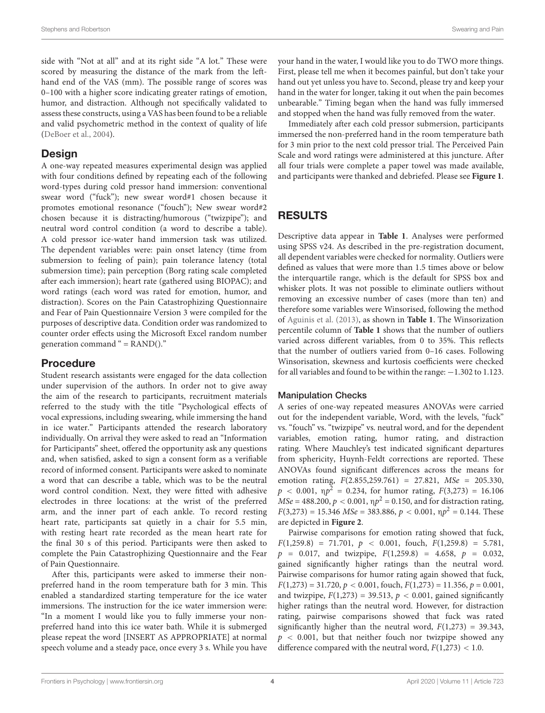side with "Not at all" and at its right side "A lot." These were scored by measuring the distance of the mark from the lefthand end of the VAS (mm). The possible range of scores was 0–100 with a higher score indicating greater ratings of emotion, humor, and distraction. Although not specifically validated to assess these constructs, using a VAS has been found to be a reliable and valid psychometric method in the context of quality of life [\(DeBoer et al.,](#page-8-13) [2004\)](#page-8-13).

### **Design**

A one-way repeated measures experimental design was applied with four conditions defined by repeating each of the following word-types during cold pressor hand immersion: conventional swear word ("fuck"); new swear word#1 chosen because it promotes emotional resonance ("fouch"); New swear word#2 chosen because it is distracting/humorous ("twizpipe"); and neutral word control condition (a word to describe a table). A cold pressor ice-water hand immersion task was utilized. The dependent variables were: pain onset latency (time from submersion to feeling of pain); pain tolerance latency (total submersion time); pain perception (Borg rating scale completed after each immersion); heart rate (gathered using BIOPAC); and word ratings (each word was rated for emotion, humor, and distraction). Scores on the Pain Catastrophizing Questionnaire and Fear of Pain Questionnaire Version 3 were compiled for the purposes of descriptive data. Condition order was randomized to counter order effects using the Microsoft Excel random number generation command "  $=$  RAND()."

## Procedure

Student research assistants were engaged for the data collection under supervision of the authors. In order not to give away the aim of the research to participants, recruitment materials referred to the study with the title "Psychological effects of vocal expressions, including swearing, while immersing the hand in ice water." Participants attended the research laboratory individually. On arrival they were asked to read an "Information for Participants" sheet, offered the opportunity ask any questions and, when satisfied, asked to sign a consent form as a verifiable record of informed consent. Participants were asked to nominate a word that can describe a table, which was to be the neutral word control condition. Next, they were fitted with adhesive electrodes in three locations: at the wrist of the preferred arm, and the inner part of each ankle. To record resting heart rate, participants sat quietly in a chair for 5.5 min, with resting heart rate recorded as the mean heart rate for the final 30 s of this period. Participants were then asked to complete the Pain Catastrophizing Questionnaire and the Fear of Pain Questionnaire.

After this, participants were asked to immerse their nonpreferred hand in the room temperature bath for 3 min. This enabled a standardized starting temperature for the ice water immersions. The instruction for the ice water immersion were: "In a moment I would like you to fully immerse your nonpreferred hand into this ice water bath. While it is submerged please repeat the word [INSERT AS APPROPRIATE] at normal speech volume and a steady pace, once every 3 s. While you have

your hand in the water, I would like you to do TWO more things. First, please tell me when it becomes painful, but don't take your hand out yet unless you have to. Second, please try and keep your hand in the water for longer, taking it out when the pain becomes unbearable." Timing began when the hand was fully immersed and stopped when the hand was fully removed from the water.

Immediately after each cold pressor submersion, participants immersed the non-preferred hand in the room temperature bath for 3 min prior to the next cold pressor trial. The Perceived Pain Scale and word ratings were administered at this juncture. After all four trials were complete a paper towel was made available, and participants were thanked and debriefed. Please see **[Figure 1](#page-4-0)**.

## **RESULTS**

Descriptive data appear in **[Table 1](#page-5-0)**. Analyses were performed using SPSS v24. As described in the pre-registration document, all dependent variables were checked for normality. Outliers were defined as values that were more than 1.5 times above or below the interquartile range, which is the default for SPSS box and whisker plots. It was not possible to eliminate outliers without removing an excessive number of cases (more than ten) and therefore some variables were Winsorised, following the method of [Aguinis et al.](#page-8-14) [\(2013\)](#page-8-14), as shown in **[Table 1](#page-5-0)**. The Winsorization percentile column of **[Table 1](#page-5-0)** shows that the number of outliers varied across different variables, from 0 to 35%. This reflects that the number of outliers varied from 0–16 cases. Following Winsorisation, skewness and kurtosis coefficients were checked for all variables and found to be within the range: −1.302 to 1.123.

### Manipulation Checks

A series of one-way repeated measures ANOVAs were carried out for the independent variable, Word, with the levels, "fuck" vs. "fouch" vs. "twizpipe" vs. neutral word, and for the dependent variables, emotion rating, humor rating, and distraction rating. Where Mauchley's test indicated significant departures from sphericity, Huynh-Feldt corrections are reported. These ANOVAs found significant differences across the means for emotion rating, F(2.855,259.761) = 27.821, MSe = 205.330,  $p < 0.001$ ,  $\eta p^2 = 0.234$ , for humor rating,  $F(3,273) = 16.106$  $MSe = 488.200, p < 0.001, \eta p^2 = 0.150,$  and for distraction rating,  $F(3,273) = 15.346$   $MSe = 383.886$ ,  $p < 0.001$ ,  $np^2 = 0.144$ . These are depicted in **[Figure 2](#page-6-0)**.

Pairwise comparisons for emotion rating showed that fuck,  $F(1,259.8) = 71.701, p < 0.001,$  fouch,  $F(1,259.8) = 5.781,$  $p = 0.017$ , and twizpipe,  $F(1,259.8) = 4.658$ ,  $p = 0.032$ , gained significantly higher ratings than the neutral word. Pairwise comparisons for humor rating again showed that fuck,  $F(1,273) = 31.720, p < 0.001,$  fouch,  $F(1,273) = 11.356, p = 0.001,$ and twizpipe,  $F(1,273) = 39.513$ ,  $p < 0.001$ , gained significantly higher ratings than the neutral word. However, for distraction rating, pairwise comparisons showed that fuck was rated significantly higher than the neutral word,  $F(1,273) = 39.343$ ,  $p < 0.001$ , but that neither fouch nor twizpipe showed any difference compared with the neutral word,  $F(1,273) < 1.0$ .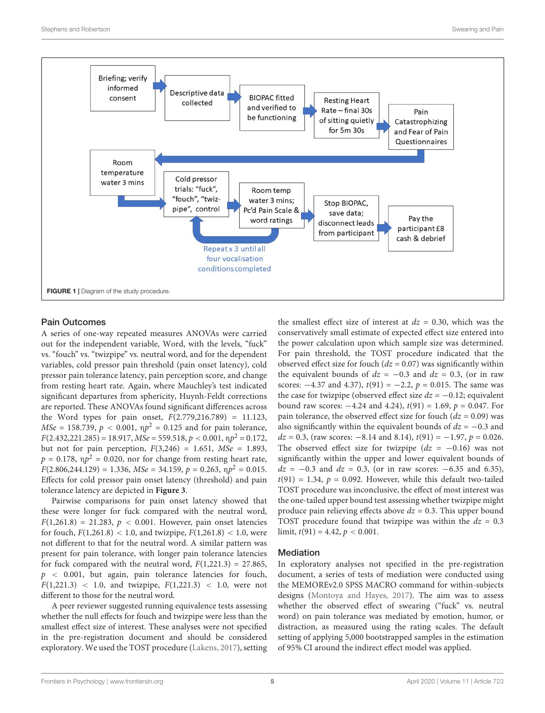

#### <span id="page-4-0"></span>Pain Outcomes

A series of one-way repeated measures ANOVAs were carried out for the independent variable, Word, with the levels, "fuck" vs. "fouch" vs. "twizpipe" vs. neutral word, and for the dependent variables, cold pressor pain threshold (pain onset latency), cold pressor pain tolerance latency, pain perception score, and change from resting heart rate. Again, where Mauchley's test indicated significant departures from sphericity, Huynh-Feldt corrections are reported. These ANOVAs found significant differences across the Word types for pain onset,  $F(2.779,216.789) = 11.123$ ,  $MSe = 158.739$ ,  $p < 0.001$ ,  $np^2 = 0.125$  and for pain tolerance,  $F(2.432,221.285) = 18.917, MSe = 559.518, p < 0.001, \eta p^2 = 0.172,$ but not for pain perception,  $F(3,246) = 1.651$ ,  $MSe = 1.893$ ,  $p = 0.178$ ,  $\eta p^2 = 0.020$ , nor for change from resting heart rate,  $F(2.806,244.129) = 1.336, MSe = 34.159, p = 0.263, \eta p^2 = 0.015.$ Effects for cold pressor pain onset latency (threshold) and pain tolerance latency are depicted in **[Figure 3](#page-6-1)**.

Pairwise comparisons for pain onset latency showed that these were longer for fuck compared with the neutral word,  $F(1,261.8) = 21.283, p < 0.001$ . However, pain onset latencies for fouch,  $F(1,261.8) < 1.0$ , and twizpipe,  $F(1,261.8) < 1.0$ , were not different to that for the neutral word. A similar pattern was present for pain tolerance, with longer pain tolerance latencies for fuck compared with the neutral word,  $F(1,221.3) = 27.865$ ,  $p \sim 0.001$ , but again, pain tolerance latencies for fouch,  $F(1,221.3)$  < 1.0, and twizpipe,  $F(1,221.3)$  < 1.0, were not different to those for the neutral word.

A peer reviewer suggested running equivalence tests assessing whether the null effects for fouch and twizpipe were less than the smallest effect size of interest. These analyses were not specified in the pre-registration document and should be considered exploratory. We used the TOST procedure [\(Lakens,](#page-8-15) [2017\)](#page-8-15), setting the smallest effect size of interest at  $dz = 0.30$ , which was the conservatively small estimate of expected effect size entered into the power calculation upon which sample size was determined. For pain threshold, the TOST procedure indicated that the observed effect size for fouch  $(dz = 0.07)$  was significantly within the equivalent bounds of  $dz = -0.3$  and  $dz = 0.3$ , (or in raw scores:  $-4.37$  and  $4.37$ ),  $t(91) = -2.2$ ,  $p = 0.015$ . The same was the case for twizpipe (observed effect size  $dz = -0.12$ ; equivalent bound raw scores:  $-4.24$  and  $4.24$ ),  $t(91) = 1.69$ ,  $p = 0.047$ . For pain tolerance, the observed effect size for fouch  $(dz = 0.09)$  was also significantly within the equivalent bounds of  $dz = -0.3$  and  $dz = 0.3$ , (raw scores:  $-8.14$  and  $8.14$ ),  $t(91) = -1.97$ ,  $p = 0.026$ . The observed effect size for twizpipe  $(dz = -0.16)$  was not significantly within the upper and lower equivalent bounds of  $dz = -0.3$  and  $dz = 0.3$ , (or in raw scores: -6.35 and 6.35),  $t(91) = 1.34$ ,  $p = 0.092$ . However, while this default two-tailed TOST procedure was inconclusive, the effect of most interest was the one-tailed upper bound test assessing whether twizpipe might produce pain relieving effects above  $dz = 0.3$ . This upper bound TOST procedure found that twizpipe was within the  $dz = 0.3$ limit,  $t(91) = 4.42$ ,  $p < 0.001$ .

#### Mediation

In exploratory analyses not specified in the pre-registration document, a series of tests of mediation were conducted using the MEMOREv2.0 SPSS MACRO command for within-subjects designs [\(Montoya and Hayes,](#page-9-10) [2017\)](#page-9-10). The aim was to assess whether the observed effect of swearing ("fuck" vs. neutral word) on pain tolerance was mediated by emotion, humor, or distraction, as measured using the rating scales. The default setting of applying 5,000 bootstrapped samples in the estimation of 95% CI around the indirect effect model was applied.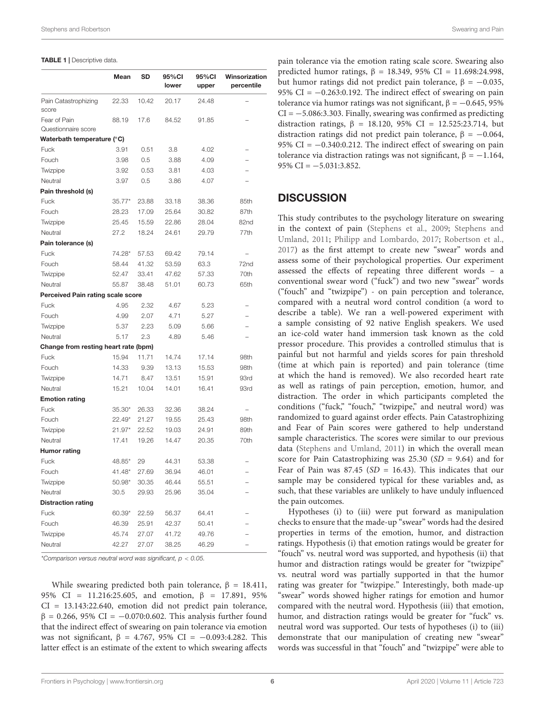#### <span id="page-5-0"></span>TABLE 1 | Descriptive data.

|                                      | Mean     | SD    | 95%CI<br>lower | 95%CI<br>upper | Winsorization<br>percentile |
|--------------------------------------|----------|-------|----------------|----------------|-----------------------------|
| Pain Catastrophizing                 | 22.33    | 10.42 | 20.17          | 24.48          |                             |
| score                                |          |       |                |                |                             |
| Fear of Pain                         | 88.19    | 17.6  | 84.52          | 91.85          |                             |
| Questionnaire score                  |          |       |                |                |                             |
| Waterbath temperature (°C)           |          |       |                |                |                             |
| Fuck                                 | 3.91     | 0.51  | 3.8            | 4.02           |                             |
| Fouch                                | 3.98     | 0.5   | 3.88           | 4.09           |                             |
| Twizpipe                             | 3.92     | 0.53  | 3.81           | 4.03           |                             |
| Neutral                              | 3.97     | 0.5   | 3.86           | 4.07           |                             |
| Pain threshold (s)                   |          |       |                |                |                             |
| <b>Fuck</b>                          | $35.77*$ | 23.88 | 33.18          | 38.36          | 85th                        |
| Fouch                                | 28.23    | 17.09 | 25.64          | 30.82          | 87th                        |
| Twizpipe                             | 25.45    | 15.59 | 22.86          | 28.04          | 82nd                        |
| Neutral                              | 27.2     | 18.24 | 24.61          | 29.79          | 77th                        |
| Pain tolerance (s)                   |          |       |                |                |                             |
| Fuck                                 | 74.28*   | 57.53 | 69.42          | 79.14          | $\overline{\phantom{0}}$    |
| Fouch                                | 58.44    | 41.32 | 53.59          | 63.3           | 72nd                        |
| Twizpipe                             | 52.47    | 33.41 | 47.62          | 57.33          | 70th                        |
| Neutral                              | 55.87    | 38.48 | 51.01          | 60.73          | 65th                        |
| Perceived Pain rating scale score    |          |       |                |                |                             |
| <b>Fuck</b>                          | 4.95     | 2.32  | 4.67           | 5.23           |                             |
| Fouch                                | 4.99     | 2.07  | 4.71           | 5.27           |                             |
| Twizpipe                             | 5.37     | 2.23  | 5.09           | 5.66           |                             |
| Neutral                              | 5.17     | 2.3   | 4.89           | 5.46           |                             |
| Change from resting heart rate (bpm) |          |       |                |                |                             |
| <b>Fuck</b>                          | 15.94    | 11.71 | 14.74          | 17.14          | 98th                        |
| Fouch                                | 14.33    | 9.39  | 13.13          | 15.53          | 98th                        |
| Twizpipe                             | 14.71    | 8.47  | 13.51          | 15.91          | 93rd                        |
| Neutral                              | 15.21    | 10.04 | 14.01          | 16.41          | 93rd                        |
| <b>Emotion rating</b>                |          |       |                |                |                             |
| <b>Fuck</b>                          | 35.30*   | 26.33 | 32.36          | 38.24          | $\overline{\phantom{0}}$    |
| Fouch                                | 22.49*   | 21.27 | 19.55          | 25.43          | 98th                        |
| Twizpipe                             | $21.97*$ | 22.52 | 19.03          | 24.91          | 89th                        |
| Neutral                              | 17.41    | 19.26 | 14.47          | 20.35          | 70th                        |
| <b>Humor rating</b>                  |          |       |                |                |                             |
| Fuck                                 | 48.85*   | 29    | 44.31          | 53.38          |                             |
| Fouch                                | 41.48*   | 27.69 | 36.94          | 46.01          |                             |
| Twizpipe                             | 50.98*   | 30.35 | 46.44          | 55.51          |                             |
| Neutral                              | 30.5     | 29.93 | 25.96          | 35.04          |                             |
| <b>Distraction rating</b>            |          |       |                |                |                             |
| Fuck                                 | 60.39*   | 22.59 | 56.37          | 64.41          |                             |
| Fouch                                | 46.39    | 25.91 | 42.37          | 50.41          |                             |
| Twizpipe                             | 45.74    | 27.07 | 41.72          | 49.76          |                             |
| Neutral                              | 42.27    | 27.07 | 38.25          | 46.29          |                             |
|                                      |          |       |                |                |                             |

\*Comparison versus neutral word was significant,  $p < 0.05$ .

While swearing predicted both pain tolerance,  $\beta = 18.411$ , 95% CI = 11.216:25.605, and emotion,  $β$  = 17.891, 95% CI = 13.143:22.640, emotion did not predict pain tolerance,  $β = 0.266, 95% CI = -0.070:0.602$ . This analysis further found that the indirect effect of swearing on pain tolerance via emotion was not significant,  $β = 4.767$ , 95% CI = -0.093:4.282. This latter effect is an estimate of the extent to which swearing affects

pain tolerance via the emotion rating scale score. Swearing also predicted humor ratings, β = 18.349, 95% CI = 11.698:24.998, but humor ratings did not predict pain tolerance,  $β = -0.035$ , 95% CI =  $-0.263:0.192$ . The indirect effect of swearing on pain tolerance via humor ratings was not significant,  $β = -0.645, 95%$  $CI = -5.086:3.303$ . Finally, swearing was confirmed as predicting distraction ratings, β = 18.120, 95% CI = 12.525:23.714, but distraction ratings did not predict pain tolerance,  $\beta = -0.064$ , 95% CI =  $-0.340:0.212$ . The indirect effect of swearing on pain tolerance via distraction ratings was not significant,  $β = -1.164$ , 95% CI =  $-5.031:3.852$ .

### **DISCUSSION**

This study contributes to the psychology literature on swearing in the context of pain [\(Stephens et al.,](#page-9-1) [2009;](#page-9-1) [Stephens and](#page-9-2) [Umland,](#page-9-2) [2011;](#page-9-2) [Philipp and Lombardo,](#page-9-4) [2017;](#page-9-4) [Robertson et al.,](#page-9-3) [2017\)](#page-9-3) as the first attempt to create new "swear" words and assess some of their psychological properties. Our experiment assessed the effects of repeating three different words – a conventional swear word ("fuck") and two new "swear" words ("fouch" and "twizpipe") - on pain perception and tolerance, compared with a neutral word control condition (a word to describe a table). We ran a well-powered experiment with a sample consisting of 92 native English speakers. We used an ice-cold water hand immersion task known as the cold pressor procedure. This provides a controlled stimulus that is painful but not harmful and yields scores for pain threshold (time at which pain is reported) and pain tolerance (time at which the hand is removed). We also recorded heart rate as well as ratings of pain perception, emotion, humor, and distraction. The order in which participants completed the conditions ("fuck," "fouch," "twizpipe," and neutral word) was randomized to guard against order effects. Pain Catastrophizing and Fear of Pain scores were gathered to help understand sample characteristics. The scores were similar to our previous data [\(Stephens and Umland,](#page-9-2) [2011\)](#page-9-2) in which the overall mean score for Pain Catastrophizing was  $25.30$  (SD = 9.64) and for Fear of Pain was  $87.45$  (SD = 16.43). This indicates that our sample may be considered typical for these variables and, as such, that these variables are unlikely to have unduly influenced the pain outcomes.

Hypotheses (i) to (iii) were put forward as manipulation checks to ensure that the made-up "swear" words had the desired properties in terms of the emotion, humor, and distraction ratings. Hypothesis (i) that emotion ratings would be greater for "fouch" vs. neutral word was supported, and hypothesis (ii) that humor and distraction ratings would be greater for "twizpipe" vs. neutral word was partially supported in that the humor rating was greater for "twizpipe." Interestingly, both made-up "swear" words showed higher ratings for emotion and humor compared with the neutral word. Hypothesis (iii) that emotion, humor, and distraction ratings would be greater for "fuck" vs. neutral word was supported. Our tests of hypotheses (i) to (iii) demonstrate that our manipulation of creating new "swear" words was successful in that "fouch" and "twizpipe" were able to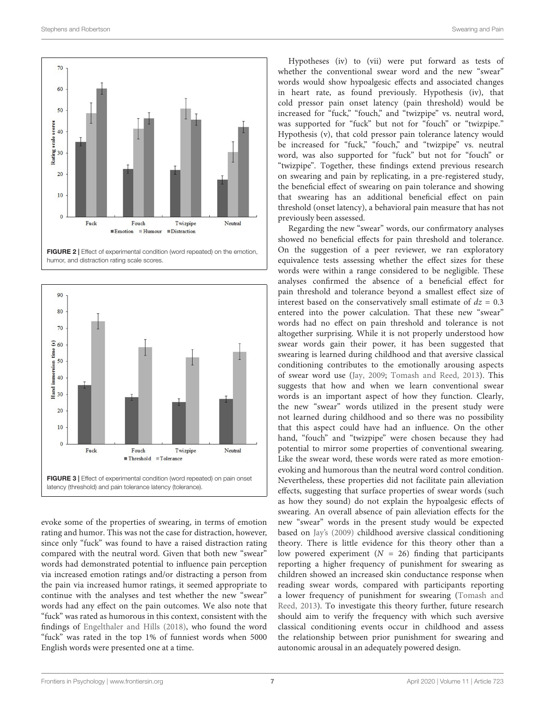

<span id="page-6-0"></span>FIGURE 2 | Effect of experimental condition (word repeated) on the emotion, humor, and distraction rating scale scores.



<span id="page-6-1"></span>evoke some of the properties of swearing, in terms of emotion rating and humor. This was not the case for distraction, however, since only "fuck" was found to have a raised distraction rating compared with the neutral word. Given that both new "swear" words had demonstrated potential to influence pain perception via increased emotion ratings and/or distracting a person from the pain via increased humor ratings, it seemed appropriate to continue with the analyses and test whether the new "swear" words had any effect on the pain outcomes. We also note that "fuck" was rated as humorous in this context, consistent with the findings of [Engelthaler and Hills](#page-8-5) [\(2018\)](#page-8-5), who found the word "fuck" was rated in the top 1% of funniest words when 5000 English words were presented one at a time.

Hypotheses (iv) to (vii) were put forward as tests of whether the conventional swear word and the new "swear" words would show hypoalgesic effects and associated changes in heart rate, as found previously. Hypothesis (iv), that cold pressor pain onset latency (pain threshold) would be increased for "fuck," "fouch," and "twizpipe" vs. neutral word, was supported for "fuck" but not for "fouch" or "twizpipe." Hypothesis (v), that cold pressor pain tolerance latency would be increased for "fuck," "fouch," and "twizpipe" vs. neutral word, was also supported for "fuck" but not for "fouch" or "twizpipe". Together, these findings extend previous research on swearing and pain by replicating, in a pre-registered study, the beneficial effect of swearing on pain tolerance and showing that swearing has an additional beneficial effect on pain threshold (onset latency), a behavioral pain measure that has not previously been assessed.

Regarding the new "swear" words, our confirmatory analyses showed no beneficial effects for pain threshold and tolerance. On the suggestion of a peer reviewer, we ran exploratory equivalence tests assessing whether the effect sizes for these words were within a range considered to be negligible. These analyses confirmed the absence of a beneficial effect for pain threshold and tolerance beyond a smallest effect size of interest based on the conservatively small estimate of  $dz = 0.3$ entered into the power calculation. That these new "swear" words had no effect on pain threshold and tolerance is not altogether surprising. While it is not properly understood how swear words gain their power, it has been suggested that swearing is learned during childhood and that aversive classical conditioning contributes to the emotionally arousing aspects of swear word use [\(Jay,](#page-8-6) [2009;](#page-8-6) [Tomash and Reed,](#page-9-11) [2013\)](#page-9-11). This suggests that how and when we learn conventional swear words is an important aspect of how they function. Clearly, the new "swear" words utilized in the present study were not learned during childhood and so there was no possibility that this aspect could have had an influence. On the other hand, "fouch" and "twizpipe" were chosen because they had potential to mirror some properties of conventional swearing. Like the swear word, these words were rated as more emotionevoking and humorous than the neutral word control condition. Nevertheless, these properties did not facilitate pain alleviation effects, suggesting that surface properties of swear words (such as how they sound) do not explain the hypoalgesic effects of swearing. An overall absence of pain alleviation effects for the new "swear" words in the present study would be expected based on [Jay'](#page-8-6)s [\(2009\)](#page-8-6) childhood aversive classical conditioning theory. There is little evidence for this theory other than a low powered experiment  $(N = 26)$  finding that participants reporting a higher frequency of punishment for swearing as children showed an increased skin conductance response when reading swear words, compared with participants reporting a lower frequency of punishment for swearing [\(Tomash and](#page-9-11) [Reed,](#page-9-11) [2013\)](#page-9-11). To investigate this theory further, future research should aim to verify the frequency with which such aversive classical conditioning events occur in childhood and assess the relationship between prior punishment for swearing and autonomic arousal in an adequately powered design.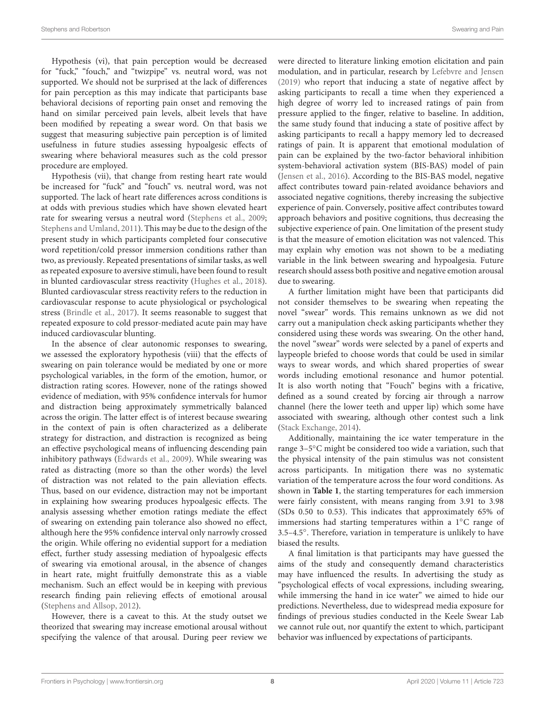Hypothesis (vi), that pain perception would be decreased for "fuck," "fouch," and "twizpipe" vs. neutral word, was not supported. We should not be surprised at the lack of differences for pain perception as this may indicate that participants base behavioral decisions of reporting pain onset and removing the hand on similar perceived pain levels, albeit levels that have been modified by repeating a swear word. On that basis we suggest that measuring subjective pain perception is of limited usefulness in future studies assessing hypoalgesic effects of swearing where behavioral measures such as the cold pressor procedure are employed.

Hypothesis (vii), that change from resting heart rate would be increased for "fuck" and "fouch" vs. neutral word, was not supported. The lack of heart rate differences across conditions is at odds with previous studies which have shown elevated heart rate for swearing versus a neutral word [\(Stephens et al.,](#page-9-1) [2009;](#page-9-1) [Stephens and Umland,](#page-9-2) [2011\)](#page-9-2). This may be due to the design of the present study in which participants completed four consecutive word repetition/cold pressor immersion conditions rather than two, as previously. Repeated presentations of similar tasks, as well as repeated exposure to aversive stimuli, have been found to result in blunted cardiovascular stress reactivity [\(Hughes et al.,](#page-8-16) [2018\)](#page-8-16). Blunted cardiovascular stress reactivity refers to the reduction in cardiovascular response to acute physiological or psychological stress [\(Brindle et al.,](#page-8-17) [2017\)](#page-8-17). It seems reasonable to suggest that repeated exposure to cold pressor-mediated acute pain may have induced cardiovascular blunting.

In the absence of clear autonomic responses to swearing, we assessed the exploratory hypothesis (viii) that the effects of swearing on pain tolerance would be mediated by one or more psychological variables, in the form of the emotion, humor, or distraction rating scores. However, none of the ratings showed evidence of mediation, with 95% confidence intervals for humor and distraction being approximately symmetrically balanced across the origin. The latter effect is of interest because swearing in the context of pain is often characterized as a deliberate strategy for distraction, and distraction is recognized as being an effective psychological means of influencing descending pain inhibitory pathways [\(Edwards et al.,](#page-8-4) [2009\)](#page-8-4). While swearing was rated as distracting (more so than the other words) the level of distraction was not related to the pain alleviation effects. Thus, based on our evidence, distraction may not be important in explaining how swearing produces hypoalgesic effects. The analysis assessing whether emotion ratings mediate the effect of swearing on extending pain tolerance also showed no effect, although here the 95% confidence interval only narrowly crossed the origin. While offering no evidential support for a mediation effect, further study assessing mediation of hypoalgesic effects of swearing via emotional arousal, in the absence of changes in heart rate, might fruitfully demonstrate this as a viable mechanism. Such an effect would be in keeping with previous research finding pain relieving effects of emotional arousal [\(Stephens and Allsop,](#page-9-5) [2012\)](#page-9-5).

However, there is a caveat to this. At the study outset we theorized that swearing may increase emotional arousal without specifying the valence of that arousal. During peer review we were directed to literature linking emotion elicitation and pain modulation, and in particular, research by [Lefebvre and Jensen](#page-8-18) [\(2019\)](#page-8-18) who report that inducing a state of negative affect by asking participants to recall a time when they experienced a high degree of worry led to increased ratings of pain from pressure applied to the finger, relative to baseline. In addition, the same study found that inducing a state of positive affect by asking participants to recall a happy memory led to decreased ratings of pain. It is apparent that emotional modulation of pain can be explained by the two-factor behavioral inhibition system-behavioral activation system (BIS-BAS) model of pain [\(Jensen et al.,](#page-8-19) [2016\)](#page-8-19). According to the BIS-BAS model, negative affect contributes toward pain-related avoidance behaviors and associated negative cognitions, thereby increasing the subjective experience of pain. Conversely, positive affect contributes toward approach behaviors and positive cognitions, thus decreasing the subjective experience of pain. One limitation of the present study is that the measure of emotion elicitation was not valenced. This may explain why emotion was not shown to be a mediating variable in the link between swearing and hypoalgesia. Future research should assess both positive and negative emotion arousal due to swearing.

A further limitation might have been that participants did not consider themselves to be swearing when repeating the novel "swear" words. This remains unknown as we did not carry out a manipulation check asking participants whether they considered using these words was swearing. On the other hand, the novel "swear" words were selected by a panel of experts and laypeople briefed to choose words that could be used in similar ways to swear words, and which shared properties of swear words including emotional resonance and humor potential. It is also worth noting that "Fouch" begins with a fricative, defined as a sound created by forcing air through a narrow channel (here the lower teeth and upper lip) which some have associated with swearing, although other contest such a link [\(Stack Exchange,](#page-9-12) [2014\)](#page-9-12).

Additionally, maintaining the ice water temperature in the range 3–5◦C might be considered too wide a variation, such that the physical intensity of the pain stimulus was not consistent across participants. In mitigation there was no systematic variation of the temperature across the four word conditions. As shown in **[Table 1](#page-5-0)**, the starting temperatures for each immersion were fairly consistent, with means ranging from 3.91 to 3.98 (SDs 0.50 to 0.53). This indicates that approximately 65% of immersions had starting temperatures within a 1◦C range of 3.5–4.5◦ . Therefore, variation in temperature is unlikely to have biased the results.

A final limitation is that participants may have guessed the aims of the study and consequently demand characteristics may have influenced the results. In advertising the study as "psychological effects of vocal expressions, including swearing, while immersing the hand in ice water" we aimed to hide our predictions. Nevertheless, due to widespread media exposure for findings of previous studies conducted in the Keele Swear Lab we cannot rule out, nor quantify the extent to which, participant behavior was influenced by expectations of participants.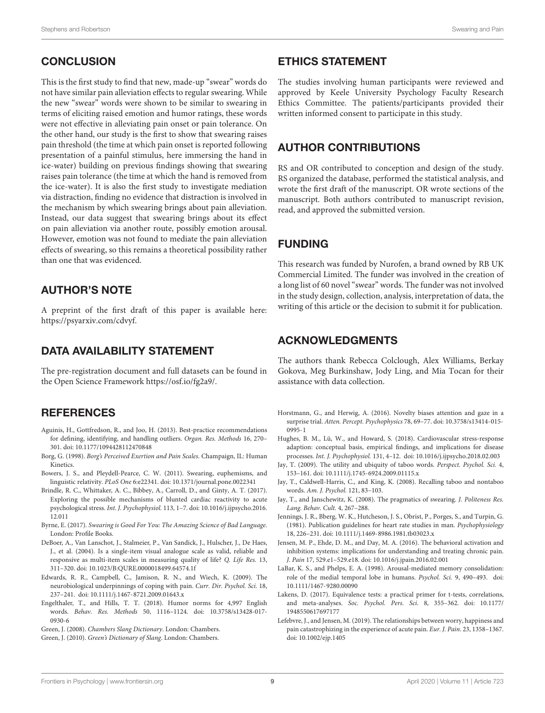## **CONCLUSION**

This is the first study to find that new, made-up "swear" words do not have similar pain alleviation effects to regular swearing. While the new "swear" words were shown to be similar to swearing in terms of eliciting raised emotion and humor ratings, these words were not effective in alleviating pain onset or pain tolerance. On the other hand, our study is the first to show that swearing raises pain threshold (the time at which pain onset is reported following presentation of a painful stimulus, here immersing the hand in ice-water) building on previous findings showing that swearing raises pain tolerance (the time at which the hand is removed from the ice-water). It is also the first study to investigate mediation via distraction, finding no evidence that distraction is involved in the mechanism by which swearing brings about pain alleviation. Instead, our data suggest that swearing brings about its effect on pain alleviation via another route, possibly emotion arousal. However, emotion was not found to mediate the pain alleviation effects of swearing, so this remains a theoretical possibility rather than one that was evidenced.

## AUTHOR'S NOTE

A preprint of the first draft of this paper is available here: [https://psyarxiv.com/cdvyf.](https://psyarxiv.com/cdvyf)

## DATA AVAILABILITY STATEMENT

The pre-registration document and full datasets can be found in the Open Science Framework [https://osf.io/fg2a9/.](https://osf.io/fg2a9/)

## **REFERENCES**

- <span id="page-8-14"></span>Aguinis, H., Gottfredson, R., and Joo, H. (2013). Best-practice recommendations for defining, identifying, and handling outliers. Organ. Res. Methods 16, 270– 301. [doi: 10.1177/1094428112470848](https://doi.org/10.1177/1094428112470848)
- <span id="page-8-12"></span>Borg, G. (1998). Borg's Perceived Exertion and Pain Scales. Champaign, IL: Human Kinetics.
- <span id="page-8-3"></span>Bowers, J. S., and Pleydell-Pearce, C. W. (2011). Swearing, euphemisms, and linguistic relativity. PLoS One 6:e22341. [doi: 10.1371/journal.pone.0022341](https://doi.org/10.1371/journal.pone.0022341)
- <span id="page-8-17"></span>Brindle, R. C., Whittaker, A. C., Bibbey, A., Carroll, D., and Ginty, A. T. (2017). Exploring the possible mechanisms of blunted cardiac reactivity to acute psychological stress. Int. J. Psychophysiol. 113, 1–7. [doi: 10.1016/j.ijpsycho.2016.](https://doi.org/10.1016/j.ijpsycho.2016.12.011) [12.011](https://doi.org/10.1016/j.ijpsycho.2016.12.011)
- <span id="page-8-9"></span>Byrne, E. (2017). Swearing is Good For You: The Amazing Science of Bad Language. London: Profile Books.
- <span id="page-8-13"></span>DeBoer, A., Van Lanschot, J., Stalmeier, P., Van Sandick, J., Hulscher, J., De Haes, J., et al. (2004). Is a single-item visual analogue scale as valid, reliable and responsive as multi-item scales in measuring quality of life? Q. Life Res. 13, 311–320. [doi: 10.1023/B:QURE.0000018499.64574.1f](https://doi.org/10.1023/B:QURE.0000018499.64574.1f)
- <span id="page-8-4"></span>Edwards, R. R., Campbell, C., Jamison, R. N., and Wiech, K. (2009). The neurobiological underpinnings of coping with pain. Curr. Dir. Psychol. Sci. 18, 237–241. [doi: 10.1111/j.1467-8721.2009.01643.x](https://doi.org/10.1111/j.1467-8721.2009.01643.x)
- <span id="page-8-5"></span>Engelthaler, T., and Hills, T. T. (2018). Humor norms for 4,997 English words. Behav. Res. Methods 50, 1116–1124. [doi: 10.3758/s13428-017-](https://doi.org/10.3758/s13428-017-0930-6) [0930-6](https://doi.org/10.3758/s13428-017-0930-6)

<span id="page-8-11"></span>Green, J. (2008). Chambers Slang Dictionary. London: Chambers.

<span id="page-8-10"></span>Green, J. (2010). Green's Dictionary of Slang. London: Chambers.

### ETHICS STATEMENT

The studies involving human participants were reviewed and approved by Keele University Psychology Faculty Research Ethics Committee. The patients/participants provided their written informed consent to participate in this study.

### AUTHOR CONTRIBUTIONS

RS and OR contributed to conception and design of the study. RS organized the database, performed the statistical analysis, and wrote the first draft of the manuscript. OR wrote sections of the manuscript. Both authors contributed to manuscript revision, read, and approved the submitted version.

## FUNDING

This research was funded by Nurofen, a brand owned by RB UK Commercial Limited. The funder was involved in the creation of a long list of 60 novel "swear" words. The funder was not involved in the study design, collection, analysis, interpretation of data, the writing of this article or the decision to submit it for publication.

## ACKNOWLEDGMENTS

The authors thank Rebecca Colclough, Alex Williams, Berkay Gokova, Meg Burkinshaw, Jody Ling, and Mia Tocan for their assistance with data collection.

- <span id="page-8-7"></span>Horstmann, G., and Herwig, A. (2016). Novelty biases attention and gaze in a surprise trial. Atten. Percept. Psychophysics 78, 69–77. [doi: 10.3758/s13414-015-](https://doi.org/10.3758/s13414-015-0995-1) [0995-1](https://doi.org/10.3758/s13414-015-0995-1)
- <span id="page-8-16"></span>Hughes, B. M., Lü, W., and Howard, S. (2018). Cardiovascular stress-response adaption: conceptual basis, empirical findings, and implications for disease processes. Int. J. Psychophysiol. 131, 4–12. [doi: 10.1016/j.ijpsycho.2018.02.003](https://doi.org/10.1016/j.ijpsycho.2018.02.003)
- <span id="page-8-6"></span>Jay, T. (2009). The utility and ubiquity of taboo words. Perspect. Psychol. Sci. 4, 153–161. [doi: 10.1111/j.1745-6924.2009.01115.x](https://doi.org/10.1111/j.1745-6924.2009.01115.x)
- <span id="page-8-2"></span>Jay, T., Caldwell-Harris, C., and King, K. (2008). Recalling taboo and nontaboo words. Am. J. Psychol. 121, 83–103.
- <span id="page-8-0"></span>Jay, T., and Janschewitz, K. (2008). The pragmatics of swearing. J. Politeness Res. Lang. Behav. Cult. 4, 267–288.
- <span id="page-8-8"></span>Jennings, J. R., Bberg, W. K., Hutcheson, J. S., Obrist, P., Porges, S., and Turpin, G. (1981). Publication guidelines for heart rate studies in man. Psychophysiology 18, 226–231. [doi: 10.1111/j.1469-8986.1981.tb03023.x](https://doi.org/10.1111/j.1469-8986.1981.tb03023.x)
- <span id="page-8-19"></span>Jensen, M. P., Ehde, D. M., and Day, M. A. (2016). The behavioral activation and inhibition systems: implications for understanding and treating chronic pain. J. Pain 17, 529.e1–529.e18. [doi: 10.1016/j.jpain.2016.02.001](https://doi.org/10.1016/j.jpain.2016.02.001)
- <span id="page-8-1"></span>LaBar, K. S., and Phelps, E. A. (1998). Arousal-mediated memory consolidation: role of the medial temporal lobe in humans. Psychol. Sci. 9, 490–493. [doi:](https://doi.org/10.1111/1467-9280.00090) [10.1111/1467-9280.00090](https://doi.org/10.1111/1467-9280.00090)
- <span id="page-8-15"></span>Lakens, D. (2017). Equivalence tests: a practical primer for t-tests, correlations, and meta-analyses. Soc. Psychol. Pers. Sci. 8, 355–362. [doi: 10.1177/](https://doi.org/10.1177/1948550617697177) [1948550617697177](https://doi.org/10.1177/1948550617697177)
- <span id="page-8-18"></span>Lefebvre, J., and Jensen, M. (2019). The relationships between worry, happiness and pain catastrophizing in the experience of acute pain. Eur. J. Pain. 23, 1358–1367. [doi: 10.1002/ejp.1405](https://doi.org/10.1002/ejp.1405)